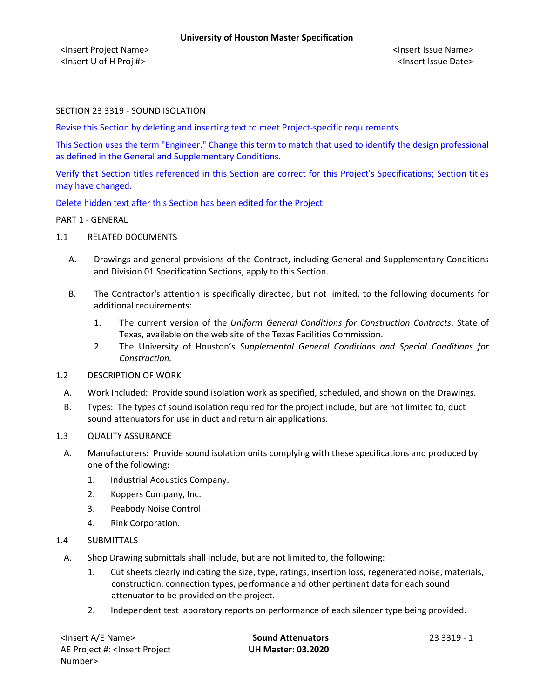<Insert Project Name> <Insert Issue Name> <Insert U of H Proj #> <Insert Issue Date>

### SECTION 23 3319 - SOUND ISOLATION

Revise this Section by deleting and inserting text to meet Project-specific requirements.

This Section uses the term "Engineer." Change this term to match that used to identify the design professional as defined in the General and Supplementary Conditions.

Verify that Section titles referenced in this Section are correct for this Project's Specifications; Section titles may have changed.

Delete hidden text after this Section has been edited for the Project.

#### PART 1 - GENERAL

- 1.1 RELATED DOCUMENTS
	- A. Drawings and general provisions of the Contract, including General and Supplementary Conditions and Division 01 Specification Sections, apply to this Section.
	- B. The Contractor's attention is specifically directed, but not limited, to the following documents for additional requirements:
		- 1. The current version of the *Uniform General Conditions for Construction Contracts*, State of Texas, available on the web site of the Texas Facilities Commission.
		- 2. The University of Houston's *Supplemental General Conditions and Special Conditions for Construction.*
- 1.2 DESCRIPTION OF WORK
	- A. Work Included: Provide sound isolation work as specified, scheduled, and shown on the Drawings.
- B. Types: The types of sound isolation required for the project include, but are not limited to, duct sound attenuators for use in duct and return air applications.

# 1.3 QUALITY ASSURANCE

- A. Manufacturers: Provide sound isolation units complying with these specifications and produced by one of the following:
	- 1. Industrial Acoustics Company.
	- 2. Koppers Company, Inc.
	- 3. Peabody Noise Control.
	- 4. Rink Corporation.
- 1.4 SUBMITTALS
	- A. Shop Drawing submittals shall include, but are not limited to, the following:
		- 1. Cut sheets clearly indicating the size, type, ratings, insertion loss, regenerated noise, materials, construction, connection types, performance and other pertinent data for each sound attenuator to be provided on the project.
		- 2. Independent test laboratory reports on performance of each silencer type being provided.

| <insert a="" e="" name=""></insert>                        |  |
|------------------------------------------------------------|--|
| AE Project #: <lnsert project<="" td=""><td></td></lnsert> |  |
| Number>                                                    |  |

**Sound Attenuators** 23 3319 - 1 **UH Master: 03.2020**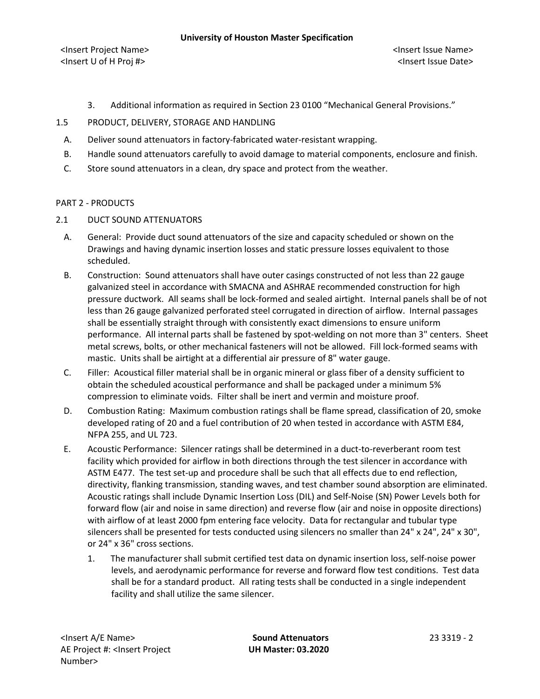#### **University of Houston Master Specification**

<Insert Project Name> <Insert Issue Name> <Insert U of H Proj #> <Insert Issue Date>

- 3. Additional information as required in Section 23 0100 "Mechanical General Provisions."
- 1.5 PRODUCT, DELIVERY, STORAGE AND HANDLING
	- A. Deliver sound attenuators in factory-fabricated water-resistant wrapping.
	- B. Handle sound attenuators carefully to avoid damage to material components, enclosure and finish.
	- C. Store sound attenuators in a clean, dry space and protect from the weather.

### PART 2 - PRODUCTS

- 2.1 DUCT SOUND ATTENUATORS
	- A. General: Provide duct sound attenuators of the size and capacity scheduled or shown on the Drawings and having dynamic insertion losses and static pressure losses equivalent to those scheduled.
	- B. Construction: Sound attenuators shall have outer casings constructed of not less than 22 gauge galvanized steel in accordance with SMACNA and ASHRAE recommended construction for high pressure ductwork. All seams shall be lock-formed and sealed airtight. Internal panels shall be of not less than 26 gauge galvanized perforated steel corrugated in direction of airflow. Internal passages shall be essentially straight through with consistently exact dimensions to ensure uniform performance. All internal parts shall be fastened by spot-welding on not more than 3" centers. Sheet metal screws, bolts, or other mechanical fasteners will not be allowed. Fill lock-formed seams with mastic. Units shall be airtight at a differential air pressure of 8" water gauge.
	- C. Filler: Acoustical filler material shall be in organic mineral or glass fiber of a density sufficient to obtain the scheduled acoustical performance and shall be packaged under a minimum 5% compression to eliminate voids. Filter shall be inert and vermin and moisture proof.
	- D. Combustion Rating: Maximum combustion ratings shall be flame spread, classification of 20, smoke developed rating of 20 and a fuel contribution of 20 when tested in accordance with ASTM E84, NFPA 255, and UL 723.
	- E. Acoustic Performance: Silencer ratings shall be determined in a duct-to-reverberant room test facility which provided for airflow in both directions through the test silencer in accordance with ASTM E477. The test set-up and procedure shall be such that all effects due to end reflection, directivity, flanking transmission, standing waves, and test chamber sound absorption are eliminated. Acoustic ratings shall include Dynamic Insertion Loss (DIL) and Self-Noise (SN) Power Levels both for forward flow (air and noise in same direction) and reverse flow (air and noise in opposite directions) with airflow of at least 2000 fpm entering face velocity. Data for rectangular and tubular type silencers shall be presented for tests conducted using silencers no smaller than 24" x 24", 24" x 30", or 24" x 36" cross sections.
		- 1. The manufacturer shall submit certified test data on dynamic insertion loss, self-noise power levels, and aerodynamic performance for reverse and forward flow test conditions. Test data shall be for a standard product. All rating tests shall be conducted in a single independent facility and shall utilize the same silencer.

**UH Master: 03.2020**